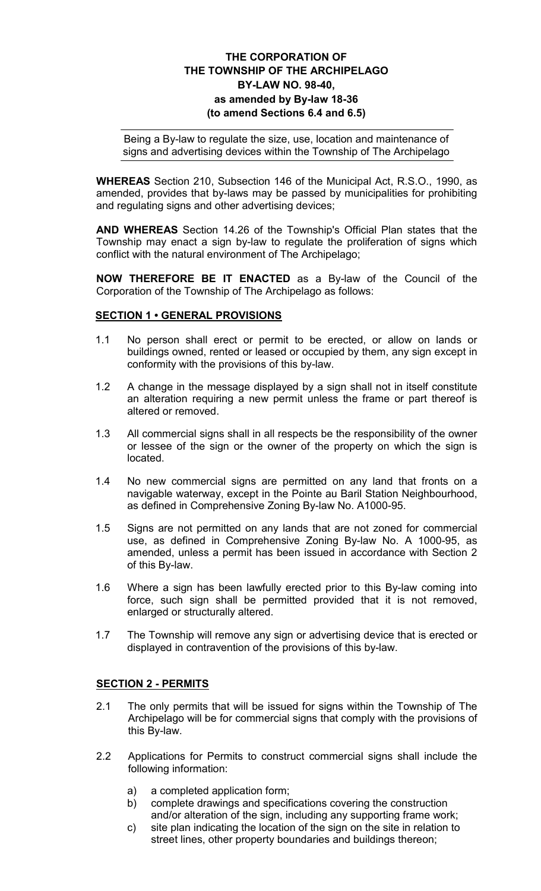# THE CORPORATION OF THE TOWNSHIP OF THE ARCHIPELAGO BY-LAW NO. 98-40, as amended by By-law 18-36 (to amend Sections 6.4 and 6.5)

Being a By-law to regulate the size, use, location and maintenance of signs and advertising devices within the Township of The Archipelago

WHEREAS Section 210, Subsection 146 of the Municipal Act, R.S.O., 1990, as amended, provides that by-laws may be passed by municipalities for prohibiting and regulating signs and other advertising devices;

AND WHEREAS Section 14.26 of the Township's Official Plan states that the Township may enact a sign by-law to regulate the proliferation of signs which conflict with the natural environment of The Archipelago;

NOW THEREFORE BE IT ENACTED as a By-law of the Council of the Corporation of the Township of The Archipelago as follows:

## SECTION 1 • GENERAL PROVISIONS

- 1.1 No person shall erect or permit to be erected, or allow on lands or buildings owned, rented or leased or occupied by them, any sign except in conformity with the provisions of this by-law.
- 1.2 A change in the message displayed by a sign shall not in itself constitute an alteration requiring a new permit unless the frame or part thereof is altered or removed.
- 1.3 All commercial signs shall in all respects be the responsibility of the owner or lessee of the sign or the owner of the property on which the sign is located.
- 1.4 No new commercial signs are permitted on any land that fronts on a navigable waterway, except in the Pointe au Baril Station Neighbourhood, as defined in Comprehensive Zoning By-law No. A1000-95.
- 1.5 Signs are not permitted on any lands that are not zoned for commercial use, as defined in Comprehensive Zoning By-law No. A 1000-95, as amended, unless a permit has been issued in accordance with Section 2 of this By-law.
- 1.6 Where a sign has been lawfully erected prior to this By-law coming into force, such sign shall be permitted provided that it is not removed, enlarged or structurally altered.
- 1.7 The Township will remove any sign or advertising device that is erected or displayed in contravention of the provisions of this by-law.

#### SECTION 2 - PERMITS

- 2.1 The only permits that will be issued for signs within the Township of The Archipelago will be for commercial signs that comply with the provisions of this By-law.
- 2.2 Applications for Permits to construct commercial signs shall include the following information:
	- a) a completed application form;
	- b) complete drawings and specifications covering the construction and/or alteration of the sign, including any supporting frame work;
	- c) site plan indicating the location of the sign on the site in relation to street lines, other property boundaries and buildings thereon;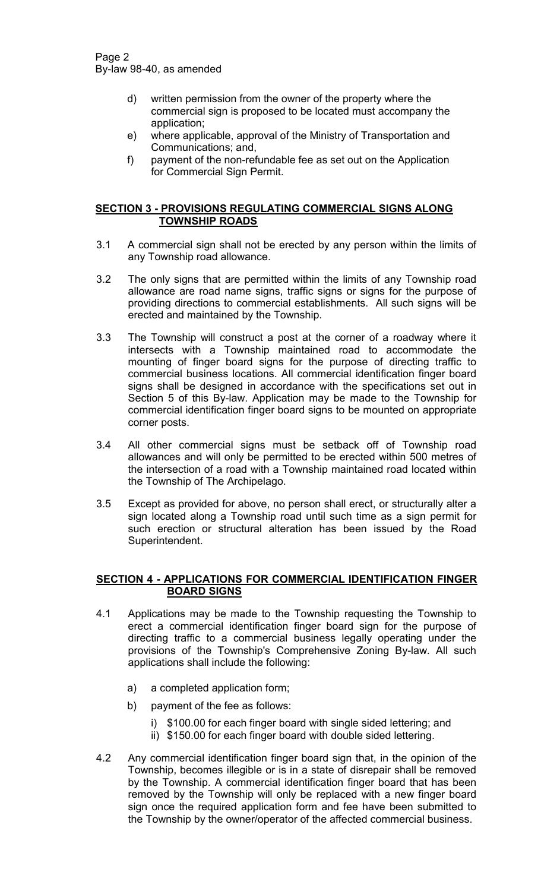- d) written permission from the owner of the property where the commercial sign is proposed to be located must accompany the application;
- e) where applicable, approval of the Ministry of Transportation and Communications; and,
- f) payment of the non-refundable fee as set out on the Application for Commercial Sign Permit.

## SECTION 3 - PROVISIONS REGULATING COMMERCIAL SIGNS ALONG TOWNSHIP ROADS

- 3.1 A commercial sign shall not be erected by any person within the limits of any Township road allowance.
- 3.2 The only signs that are permitted within the limits of any Township road allowance are road name signs, traffic signs or signs for the purpose of providing directions to commercial establishments. All such signs will be erected and maintained by the Township.
- 3.3 The Township will construct a post at the corner of a roadway where it intersects with a Township maintained road to accommodate the mounting of finger board signs for the purpose of directing traffic to commercial business locations. All commercial identification finger board signs shall be designed in accordance with the specifications set out in Section 5 of this By-law. Application may be made to the Township for commercial identification finger board signs to be mounted on appropriate corner posts.
- 3.4 All other commercial signs must be setback off of Township road allowances and will only be permitted to be erected within 500 metres of the intersection of a road with a Township maintained road located within the Township of The Archipelago.
- 3.5 Except as provided for above, no person shall erect, or structurally alter a sign located along a Township road until such time as a sign permit for such erection or structural alteration has been issued by the Road Superintendent.

# SECTION 4 - APPLICATIONS FOR COMMERCIAL IDENTIFICATION FINGER BOARD SIGNS

- 4.1 Applications may be made to the Township requesting the Township to erect a commercial identification finger board sign for the purpose of directing traffic to a commercial business legally operating under the provisions of the Township's Comprehensive Zoning By-law. All such applications shall include the following:
	- a) a completed application form;
	- b) payment of the fee as follows:
		- i) \$100.00 for each finger board with single sided lettering; and
		- ii) \$150.00 for each finger board with double sided lettering.
- 4.2 Any commercial identification finger board sign that, in the opinion of the Township, becomes illegible or is in a state of disrepair shall be removed by the Township. A commercial identification finger board that has been removed by the Township will only be replaced with a new finger board sign once the required application form and fee have been submitted to the Township by the owner/operator of the affected commercial business.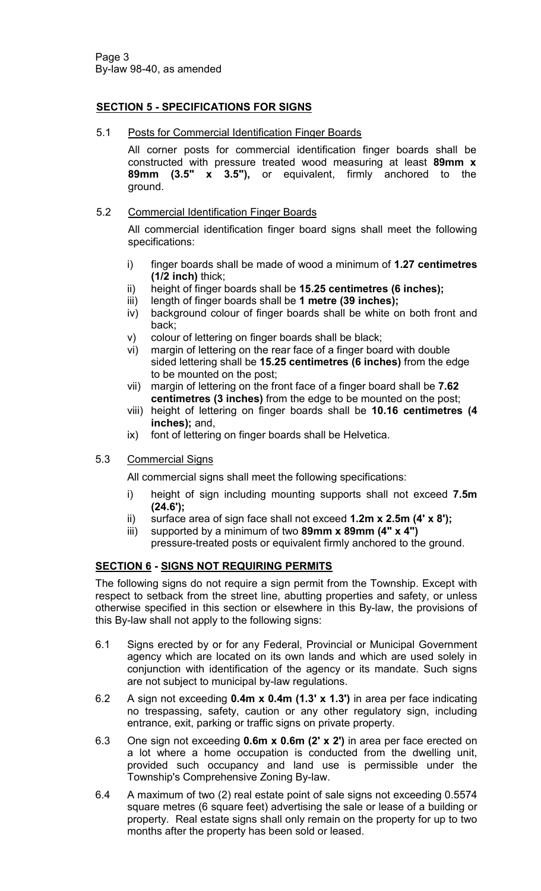# SECTION 5 - SPECIFICATIONS FOR SIGNS

5.1 Posts for Commercial Identification Finger Boards

All corner posts for commercial identification finger boards shall be constructed with pressure treated wood measuring at least 89mm x 89mm (3.5" x 3.5"), or equivalent, firmly anchored to the ground.

## 5.2 Commercial Identification Finger Boards

All commercial identification finger board signs shall meet the following specifications:

- i) finger boards shall be made of wood a minimum of 1.27 centimetres  $(1/2$  inch) thick;
- ii) height of finger boards shall be 15.25 centimetres (6 inches);
- iii) length of finger boards shall be 1 metre (39 inches);
- iv) background colour of finger boards shall be white on both front and back;
- v) colour of lettering on finger boards shall be black;
- vi) margin of lettering on the rear face of a finger board with double sided lettering shall be 15.25 centimetres (6 inches) from the edge to be mounted on the post;
- vii) margin of lettering on the front face of a finger board shall be 7.62 centimetres (3 inches) from the edge to be mounted on the post;
- viii) height of lettering on finger boards shall be 10.16 centimetres (4 inches); and,
- ix) font of lettering on finger boards shall be Helvetica.

# 5.3 Commercial Signs

All commercial signs shall meet the following specifications:

- i) height of sign including mounting supports shall not exceed 7.5m (24.6');
- ii) surface area of sign face shall not exceed  $1.2m \times 2.5m$  (4'  $\times$  8');
- iii) supported by a minimum of two  $89$ mm x  $89$ mm  $(4" \times 4")$ pressure-treated posts or equivalent firmly anchored to the ground.

# **SECTION 6 - SIGNS NOT REQUIRING PERMITS**

The following signs do not require a sign permit from the Township. Except with respect to setback from the street line, abutting properties and safety, or unless otherwise specified in this section or elsewhere in this By-law, the provisions of this By-law shall not apply to the following signs:

- 6.1 Signs erected by or for any Federal, Provincial or Municipal Government agency which are located on its own lands and which are used solely in conjunction with identification of the agency or its mandate. Such signs are not subject to municipal by-law regulations.
- 6.2 A sign not exceeding 0.4m x 0.4m (1.3' x 1.3') in area per face indicating no trespassing, safety, caution or any other regulatory sign, including entrance, exit, parking or traffic signs on private property.
- 6.3 One sign not exceeding 0.6m x 0.6m (2' x 2') in area per face erected on a lot where a home occupation is conducted from the dwelling unit, provided such occupancy and land use is permissible under the Township's Comprehensive Zoning By-law.
- 6.4 A maximum of two (2) real estate point of sale signs not exceeding 0.5574 square metres (6 square feet) advertising the sale or lease of a building or property. Real estate signs shall only remain on the property for up to two months after the property has been sold or leased.